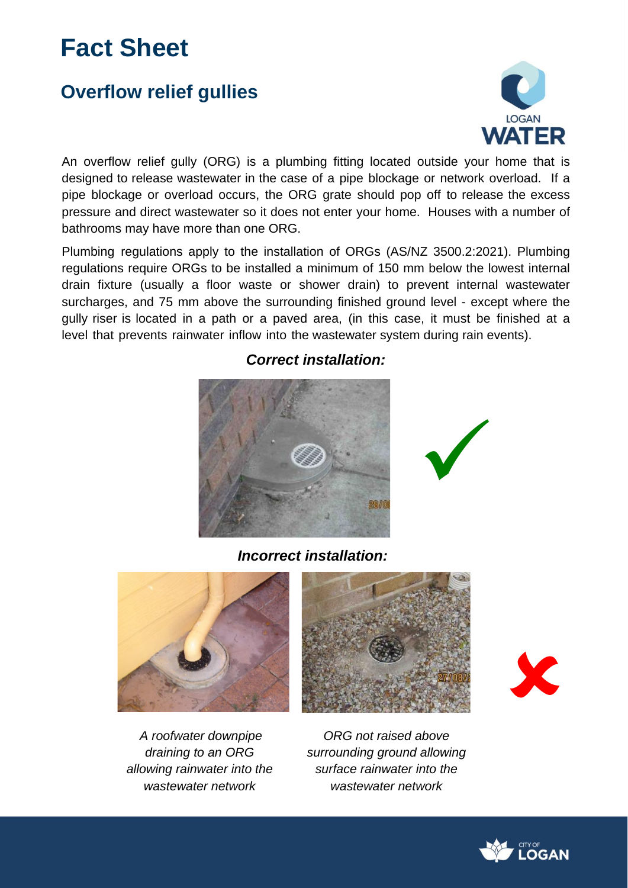# **Fact Sheet**

# **Overflow relief gullies**



An overflow relief gully (ORG) is a plumbing fitting located outside your home that is designed to release wastewater in the case of a pipe blockage or network overload. If a pipe blockage or overload occurs, the ORG grate should pop off to release the excess pressure and direct wastewater so it does not enter your home. Houses with a number of bathrooms may have more than one ORG.

Plumbing regulations apply to the installation of ORGs (AS/NZ 3500.2:2021). Plumbing regulations require ORGs to be installed a minimum of 150 mm below the lowest internal drain fixture (usually a floor waste or shower drain) to prevent internal wastewater surcharges, and 75 mm above the surrounding finished ground level - except where the gully riser is located in a path or a paved area, (in this case, it must be finished at a level that prevents rainwater inflow into the wastewater system during rain events).



*Correct installation:* 

*Incorrect installation:* 







✓



*ORG not raised above surrounding ground allowing surface rainwater into the wastewater network*